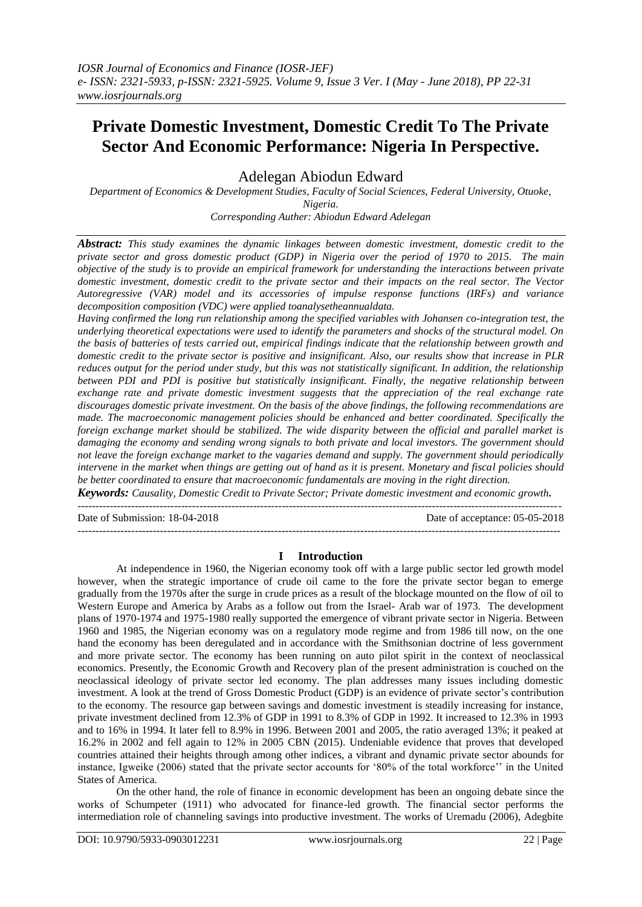# **Private Domestic Investment, Domestic Credit To The Private Sector And Economic Performance: Nigeria In Perspective.**

Adelegan Abiodun Edward

*Department of Economics & Development Studies, Faculty of Social Sciences, Federal University, Otuoke, Nigeria.*

*Corresponding Auther: Abiodun Edward Adelegan*

*Abstract: This study examines the dynamic linkages between domestic investment, domestic credit to the private sector and gross domestic product (GDP) in Nigeria over the period of 1970 to 2015. The main objective of the study is to provide an empirical framework for understanding the interactions between private domestic investment, domestic credit to the private sector and their impacts on the real sector. The Vector Autoregressive (VAR) model and its accessories of impulse response functions (IRFs) and variance decomposition composition (VDC) were applied toanalysetheannualdata.*

*Having confirmed the long run relationship among the specified variables with Johansen co-integration test, the underlying theoretical expectations were used to identify the parameters and shocks of the structural model. On the basis of batteries of tests carried out, empirical findings indicate that the relationship between growth and domestic credit to the private sector is positive and insignificant. Also, our results show that increase in PLR reduces output for the period under study, but this was not statistically significant. In addition, the relationship between PDI and PDI is positive but statistically insignificant. Finally, the negative relationship between exchange rate and private domestic investment suggests that the appreciation of the real exchange rate discourages domestic private investment. On the basis of the above findings, the following recommendations are made. The macroeconomic management policies should be enhanced and better coordinated. Specifically the foreign exchange market should be stabilized. The wide disparity between the official and parallel market is damaging the economy and sending wrong signals to both private and local investors. The government should not leave the foreign exchange market to the vagaries demand and supply. The government should periodically intervene in the market when things are getting out of hand as it is present. Monetary and fiscal policies should be better coordinated to ensure that macroeconomic fundamentals are moving in the right direction.*

*Keywords: Causality, Domestic Credit to Private Sector; Private domestic investment and economic growth.* ---------------------------------------------------------------------------------------------------------------------------------------

Date of Submission: 18-04-2018 Date of acceptance: 05-05-2018

### **I Introduction**

 $-1-\frac{1}{2}$ 

At independence in 1960, the Nigerian economy took off with a large public sector led growth model however, when the strategic importance of crude oil came to the fore the private sector began to emerge gradually from the 1970s after the surge in crude prices as a result of the blockage mounted on the flow of oil to Western Europe and America by Arabs as a follow out from the Israel- Arab war of 1973. The development plans of 1970-1974 and 1975-1980 really supported the emergence of vibrant private sector in Nigeria. Between 1960 and 1985, the Nigerian economy was on a regulatory mode regime and from 1986 till now, on the one hand the economy has been deregulated and in accordance with the Smithsonian doctrine of less government and more private sector. The economy has been running on auto pilot spirit in the context of neoclassical economics. Presently, the Economic Growth and Recovery plan of the present administration is couched on the neoclassical ideology of private sector led economy. The plan addresses many issues including domestic investment. A look at the trend of Gross Domestic Product (GDP) is an evidence of private sector's contribution to the economy. The resource gap between savings and domestic investment is steadily increasing for instance, private investment declined from 12.3% of GDP in 1991 to 8.3% of GDP in 1992. It increased to 12.3% in 1993 and to 16% in 1994. It later fell to 8.9% in 1996. Between 2001 and 2005, the ratio averaged 13%; it peaked at 16.2% in 2002 and fell again to 12% in 2005 CBN (2015). Undeniable evidence that proves that developed countries attained their heights through among other indices, a vibrant and dynamic private sector abounds for instance, Igweike (2006) stated that the private sector accounts for "80% of the total workforce"" in the United States of America.

On the other hand, the role of finance in economic development has been an ongoing debate since the works of Schumpeter (1911) who advocated for finance-led growth. The financial sector performs the intermediation role of channeling savings into productive investment. The works of Uremadu (2006), Adegbite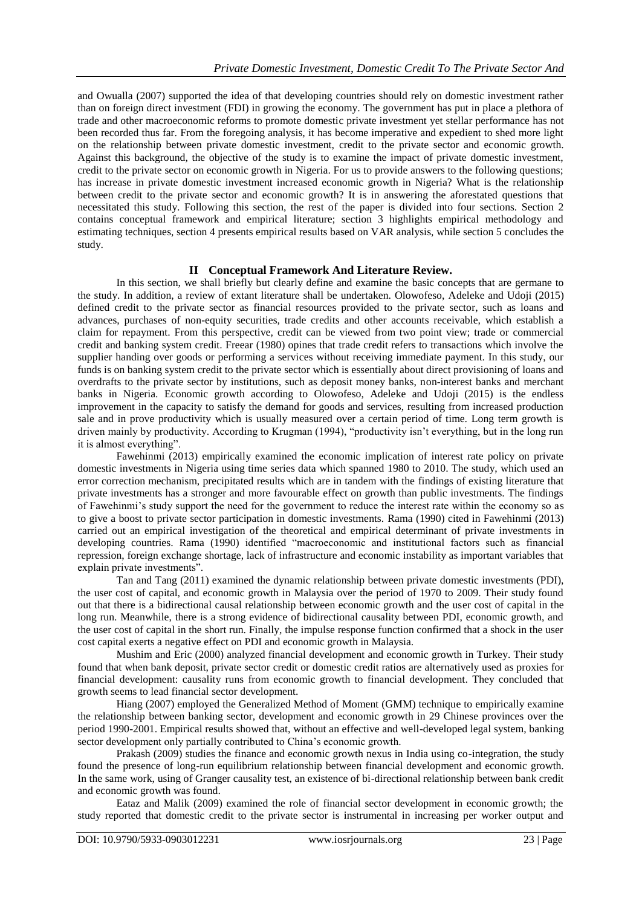and Owualla (2007) supported the idea of that developing countries should rely on domestic investment rather than on foreign direct investment (FDI) in growing the economy. The government has put in place a plethora of trade and other macroeconomic reforms to promote domestic private investment yet stellar performance has not been recorded thus far. From the foregoing analysis, it has become imperative and expedient to shed more light on the relationship between private domestic investment, credit to the private sector and economic growth. Against this background, the objective of the study is to examine the impact of private domestic investment, credit to the private sector on economic growth in Nigeria. For us to provide answers to the following questions; has increase in private domestic investment increased economic growth in Nigeria? What is the relationship between credit to the private sector and economic growth? It is in answering the aforestated questions that necessitated this study. Following this section, the rest of the paper is divided into four sections. Section 2 contains conceptual framework and empirical literature; section 3 highlights empirical methodology and estimating techniques, section 4 presents empirical results based on VAR analysis, while section 5 concludes the study.

## **II Conceptual Framework And Literature Review.**

In this section, we shall briefly but clearly define and examine the basic concepts that are germane to the study. In addition, a review of extant literature shall be undertaken. Olowofeso, Adeleke and Udoji (2015) defined credit to the private sector as financial resources provided to the private sector, such as loans and advances, purchases of non-equity securities, trade credits and other accounts receivable, which establish a claim for repayment. From this perspective, credit can be viewed from two point view; trade or commercial credit and banking system credit. Freear (1980) opines that trade credit refers to transactions which involve the supplier handing over goods or performing a services without receiving immediate payment. In this study, our funds is on banking system credit to the private sector which is essentially about direct provisioning of loans and overdrafts to the private sector by institutions, such as deposit money banks, non-interest banks and merchant banks in Nigeria. Economic growth according to Olowofeso, Adeleke and Udoji (2015) is the endless improvement in the capacity to satisfy the demand for goods and services, resulting from increased production sale and in prove productivity which is usually measured over a certain period of time. Long term growth is driven mainly by productivity. According to Krugman (1994), "productivity isn"t everything, but in the long run it is almost everything".

Fawehinmi (2013) empirically examined the economic implication of interest rate policy on private domestic investments in Nigeria using time series data which spanned 1980 to 2010. The study, which used an error correction mechanism, precipitated results which are in tandem with the findings of existing literature that private investments has a stronger and more favourable effect on growth than public investments. The findings of Fawehinmi"s study support the need for the government to reduce the interest rate within the economy so as to give a boost to private sector participation in domestic investments. Rama (1990) cited in Fawehinmi (2013) carried out an empirical investigation of the theoretical and empirical determinant of private investments in developing countries. Rama (1990) identified "macroeconomic and institutional factors such as financial repression, foreign exchange shortage, lack of infrastructure and economic instability as important variables that explain private investments".

Tan and Tang (2011) examined the dynamic relationship between private domestic investments (PDI), the user cost of capital, and economic growth in Malaysia over the period of 1970 to 2009. Their study found out that there is a bidirectional causal relationship between economic growth and the user cost of capital in the long run. Meanwhile, there is a strong evidence of bidirectional causality between PDI, economic growth, and the user cost of capital in the short run. Finally, the impulse response function confirmed that a shock in the user cost capital exerts a negative effect on PDI and economic growth in Malaysia.

Mushim and Eric (2000) analyzed financial development and economic growth in Turkey. Their study found that when bank deposit, private sector credit or domestic credit ratios are alternatively used as proxies for financial development: causality runs from economic growth to financial development. They concluded that growth seems to lead financial sector development.

Hiang (2007) employed the Generalized Method of Moment (GMM) technique to empirically examine the relationship between banking sector, development and economic growth in 29 Chinese provinces over the period 1990-2001. Empirical results showed that, without an effective and well-developed legal system, banking sector development only partially contributed to China's economic growth.

Prakash (2009) studies the finance and economic growth nexus in India using co-integration, the study found the presence of long-run equilibrium relationship between financial development and economic growth. In the same work, using of Granger causality test, an existence of bi-directional relationship between bank credit and economic growth was found.

Eataz and Malik (2009) examined the role of financial sector development in economic growth; the study reported that domestic credit to the private sector is instrumental in increasing per worker output and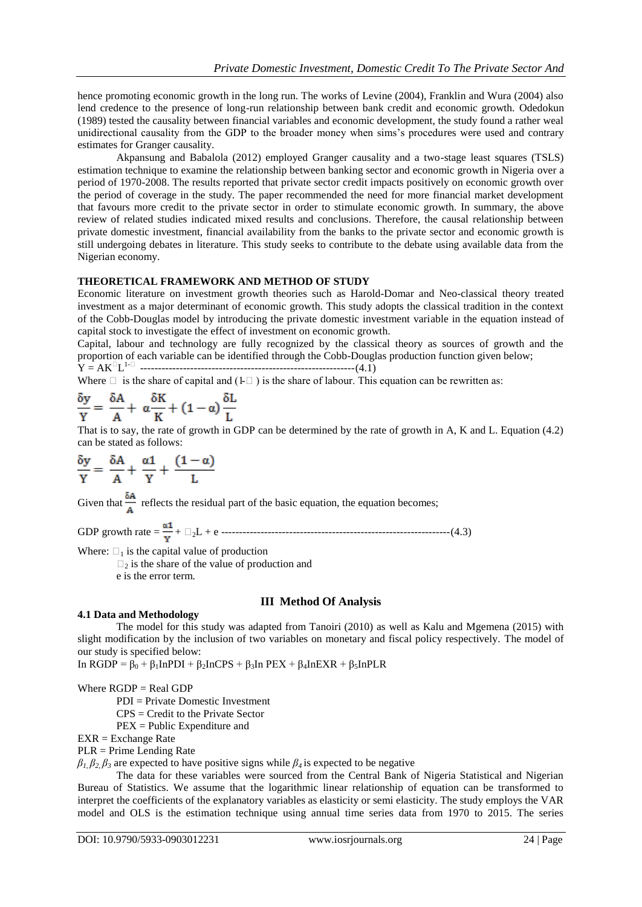hence promoting economic growth in the long run. The works of Levine (2004), Franklin and Wura (2004) also lend credence to the presence of long-run relationship between bank credit and economic growth. Odedokun (1989) tested the causality between financial variables and economic development, the study found a rather weal unidirectional causality from the GDP to the broader money when sims"s procedures were used and contrary estimates for Granger causality.

Akpansung and Babalola (2012) employed Granger causality and a two-stage least squares (TSLS) estimation technique to examine the relationship between banking sector and economic growth in Nigeria over a period of 1970-2008. The results reported that private sector credit impacts positively on economic growth over the period of coverage in the study. The paper recommended the need for more financial market development that favours more credit to the private sector in order to stimulate economic growth. In summary, the above review of related studies indicated mixed results and conclusions. Therefore, the causal relationship between private domestic investment, financial availability from the banks to the private sector and economic growth is still undergoing debates in literature. This study seeks to contribute to the debate using available data from the Nigerian economy.

## **THEORETICAL FRAMEWORK AND METHOD OF STUDY**

Economic literature on investment growth theories such as Harold-Domar and Neo-classical theory treated investment as a major determinant of economic growth. This study adopts the classical tradition in the context of the Cobb-Douglas model by introducing the private domestic investment variable in the equation instead of capital stock to investigate the effect of investment on economic growth.

Capital, labour and technology are fully recognized by the classical theory as sources of growth and the proportion of each variable can be identified through the Cobb-Douglas production function given below; Y = AKL 1- ------------------------------------------------------------(4.1)

Where  $\Box$  is the share of capital and (1- $\Box$ ) is the share of labour. This equation can be rewritten as:

$$
\frac{\delta y}{Y} = \frac{\delta A}{A} + \alpha \frac{\delta K}{K} + (1 - \alpha) \frac{\delta L}{L}
$$

That is to say, the rate of growth in GDP can be determined by the rate of growth in A, K and L. Equation (4.2) can be stated as follows:

$$
\frac{\delta y}{Y} = \frac{\delta A}{A} + \frac{\alpha 1}{Y} + \frac{(1 - \alpha)}{L}
$$

Given that  $\frac{\delta A}{A}$  reflects the residual part of the basic equation, the equation becomes;

GDP growth rate = + 2L + e ----------------------------------------------------------------(4.3)

Where:  $\Box_1$  is the capital value of production

 $\Box_2$  is the share of the value of production and

e is the error term.

### **III Method Of Analysis**

#### **4.1 Data and Methodology**

The model for this study was adapted from Tanoiri (2010) as well as Kalu and Mgemena (2015) with slight modification by the inclusion of two variables on monetary and fiscal policy respectively. The model of our study is specified below:

In  $RGDP = \beta_0 + \beta_1$ InPDI +  $\beta_2$ InCPS +  $\beta_3$ In PEX +  $\beta_4$ InEXR +  $\beta_5$ InPLR

Where RGDP = Real GDP

PDI = Private Domestic Investment

CPS = Credit to the Private Sector

PEX = Public Expenditure and

EXR = Exchange Rate

PLR = Prime Lending Rate

 $β$ <sup>1</sup>,  $β$ <sub>2</sub>,  $β$ <sub>3</sub> are expected to have positive signs while  $β$ <sub>4</sub> is expected to be negative

The data for these variables were sourced from the Central Bank of Nigeria Statistical and Nigerian Bureau of Statistics. We assume that the logarithmic linear relationship of equation can be transformed to interpret the coefficients of the explanatory variables as elasticity or semi elasticity. The study employs the VAR model and OLS is the estimation technique using annual time series data from 1970 to 2015. The series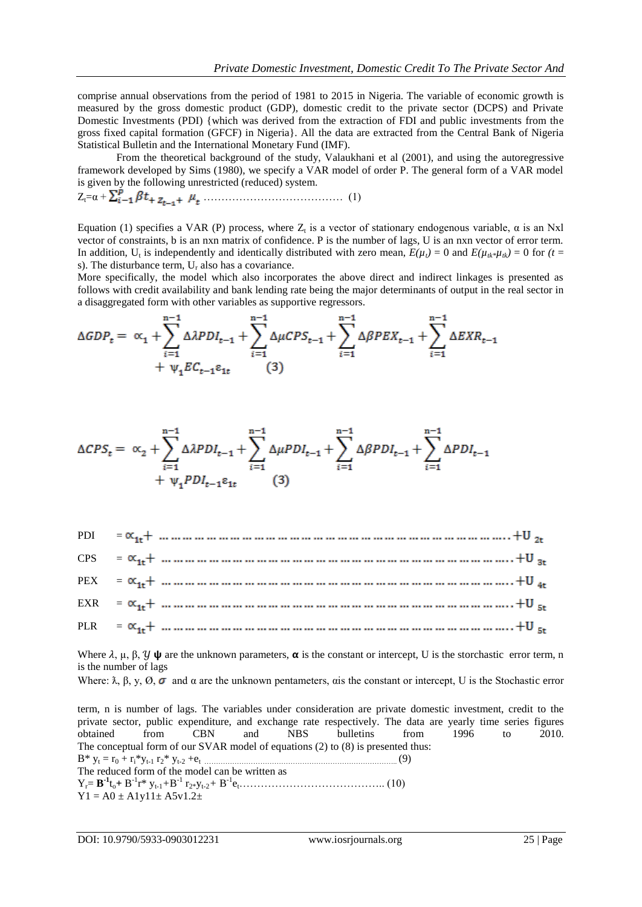comprise annual observations from the period of 1981 to 2015 in Nigeria. The variable of economic growth is measured by the gross domestic product (GDP), domestic credit to the private sector (DCPS) and Private Domestic Investments (PDI) {which was derived from the extraction of FDI and public investments from the gross fixed capital formation (GFCF) in Nigeria}. All the data are extracted from the Central Bank of Nigeria Statistical Bulletin and the International Monetary Fund (IMF).

From the theoretical background of the study, Valaukhani et al (2001), and using the autoregressive framework developed by Sims (1980), we specify a VAR model of order P. The general form of a VAR model is given by the following unrestricted (reduced) system.

Zt=α + ………………………………… (1)

Equation (1) specifies a VAR (P) process, where  $Z_t$  is a vector of stationary endogenous variable,  $\alpha$  is an Nxl vector of constraints, b is an nxn matrix of confidence. P is the number of lags, U is an nxn vector of error term. In addition,  $U_t$  is independently and identically distributed with zero mean,  $E(\mu_t) = 0$  and  $E(\mu_{tk} * \mu_{tk}) = 0$  for  $(t =$ s). The disturbance term,  $U_r$  also has a covariance.

More specifically, the model which also incorporates the above direct and indirect linkages is presented as follows with credit availability and bank lending rate being the major determinants of output in the real sector in a disaggregated form with other variables as supportive regressors.

$$
\Delta GDP_{t} = \alpha_{1} + \sum_{i=1}^{n-1} \Delta APDI_{t-1} + \sum_{i=1}^{n-1} \Delta \mu CPS_{t-1} + \sum_{i=1}^{n-1} \Delta BPEX_{t-1} + \sum_{i=1}^{n-1} \Delta EXR_{t-1} + \psi_{1} EC_{t-1} \epsilon_{1t} \qquad (3)
$$

$$
\Delta CPS_t = \alpha_2 + \sum_{i=1}^{n-1} \Delta \lambda PDI_{t-1} + \sum_{i=1}^{n-1} \Delta \mu PDI_{t-1} + \sum_{i=1}^{n-1} \Delta \beta PDI_{t-1} + \sum_{i=1}^{n-1} \Delta PDI_{t-1} + \psi_1 PDI_{t-1} \epsilon_{1t} \tag{3}
$$

| $EXR = \alpha_{1r} +  +  +  +  +  +  +  +  +  +  +  +  +  +  + +U_{5r}$ |
|-------------------------------------------------------------------------|
|                                                                         |

Where  $\lambda$ ,  $\mu$ ,  $\beta$ ,  $\gamma$   $\psi$  are the unknown parameters,  $\alpha$  is the constant or intercept, U is the storchastic error term, n is the number of lags

Where:  $\lambda$ ,  $\beta$ ,  $\gamma$ ,  $\emptyset$ ,  $\sigma$  and  $\alpha$  are the unknown pentameters,  $\alpha$  is the constant or intercept. U is the Stochastic error

term, n is number of lags. The variables under consideration are private domestic investment, credit to the private sector, public expenditure, and exchange rate respectively. The data are yearly time series figures obtained from CBN and NBS bulletins from 1996 to 2010. The conceptual form of our SVAR model of equations (2) to (8) is presented thus: B\* y<sup>t</sup> = r<sup>0</sup> + ri\*yt-1 r2\* yt-2 +et ……………………………………………………………………….. (9) The reduced form of the model can be written as Yr= **B -1** to**+** B -1 r\* yt-1*+*B -1 r2\*yt-2*+* B -1 et………………………………….. (10)  $Y1 = A0 \pm A1y11 \pm A5y1.2 \pm$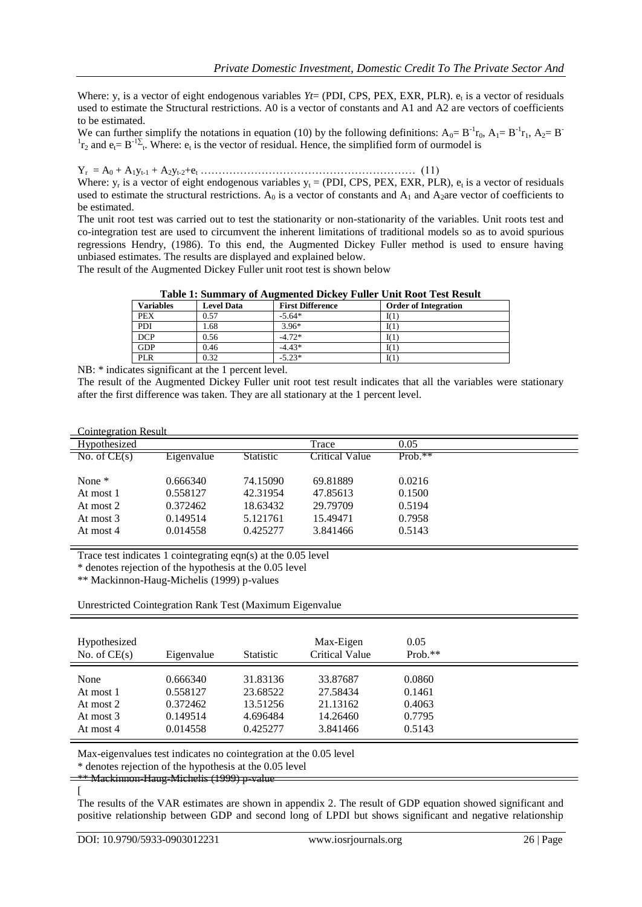Where: y, is a vector of eight endogenous variables *Yt*= (PDI, CPS, PEX, EXR, PLR). e<sub>t</sub> is a vector of residuals used to estimate the Structural restrictions. A0 is a vector of constants and A1 and A2 are vectors of coefficients to be estimated.

We can further simplify the notations in equation (10) by the following definitions:  $A_0 = B^{-1}r_0$ ,  $A_1 = B^{-1}r_1$ ,  $A_2 = B^{-1}r_2$  ${}^{1}r_2$  and  $e_t = B^{-1}\Sigma_t$ . Where:  $e_t$  is the vector of residual. Hence, the simplified form of ourmodel is

 $Y_r = A_0 + A_1 y_{t-1} + A_2 y_{t-2} + e_t \dots \dots \dots \dots \dots \dots \dots \dots \dots \dots \dots \dots \dots \dots \dots \dots \tag{11}$ 

Where:  $y_r$  is a vector of eight endogenous variables  $y_t = (PDI, CPS, PEX, EXR, PLR)$ ,  $e_t$  is a vector of residuals used to estimate the structural restrictions.  $A_0$  is a vector of constants and  $A_1$  and  $A_2$ are vector of coefficients to be estimated.

The unit root test was carried out to test the stationarity or non-stationarity of the variables. Unit roots test and co-integration test are used to circumvent the inherent limitations of traditional models so as to avoid spurious regressions Hendry, (1986). To this end, the Augmented Dickey Fuller method is used to ensure having unbiased estimates. The results are displayed and explained below.

The result of the Augmented Dickey Fuller unit root test is shown below

| Table 1. Summal v of Augmented Dickey Punct Omit Root Test Result |                   |                         |                             |  |  |  |  |  |
|-------------------------------------------------------------------|-------------------|-------------------------|-----------------------------|--|--|--|--|--|
| <b>Variables</b>                                                  | <b>Level Data</b> | <b>First Difference</b> | <b>Order of Integration</b> |  |  |  |  |  |
| <b>PEX</b>                                                        | 0.57              | $-5.64*$                | I(1)                        |  |  |  |  |  |
| PDI                                                               | 1.68              | $3.96*$                 | I(1)                        |  |  |  |  |  |
| <b>DCP</b>                                                        | 0.56              | $-4.72*$                | I(1)                        |  |  |  |  |  |
| GDP                                                               | 0.46              | $-4.43*$                | I(1)                        |  |  |  |  |  |
| PLR                                                               | 0.32              | $-5.23*$                | I(1)                        |  |  |  |  |  |

**Table 1: Summary of Augmented Dickey Fuller Unit Root Test Result**

NB: \* indicates significant at the 1 percent level.

The result of the Augmented Dickey Fuller unit root test result indicates that all the variables were stationary after the first difference was taken. They are all stationary at the 1 percent level.

| <b>Cointegration Result</b> |  |
|-----------------------------|--|
|                             |  |

| <u>CONNECTANON NESUL</u>      |            |                  |                |           |  |
|-------------------------------|------------|------------------|----------------|-----------|--|
| Hypothesized                  |            |                  | Trace          | 0.05      |  |
| $\overline{N_0}$ . of $CE(s)$ | Eigenvalue | <b>Statistic</b> | Critical Value | $Prob.**$ |  |
|                               |            |                  |                |           |  |
| None $*$                      | 0.666340   | 74.15090         | 69.81889       | 0.0216    |  |
| At most 1                     | 0.558127   | 42.31954         | 47.85613       | 0.1500    |  |
| At most 2                     | 0.372462   | 18.63432         | 29.79709       | 0.5194    |  |
| At most 3                     | 0.149514   | 5.121761         | 15.49471       | 0.7958    |  |
| At most 4                     | 0.014558   | 0.425277         | 3.841466       | 0.5143    |  |
|                               |            |                  |                |           |  |

Trace test indicates 1 cointegrating eqn(s) at the 0.05 level

\* denotes rejection of the hypothesis at the 0.05 level

\*\* Mackinnon-Haug-Michelis (1999) p-values

Unrestricted Cointegration Rank Test (Maximum Eigenvalue

| Hypothesized<br>No. of $CE(s)$ | Eigenvalue | <b>Statistic</b> | Max-Eigen<br><b>Critical Value</b> | 0.05<br>Prob. $**$ |  |
|--------------------------------|------------|------------------|------------------------------------|--------------------|--|
| None                           | 0.666340   | 31.83136         | 33.87687                           | 0.0860             |  |
| At most 1                      | 0.558127   | 23.68522         | 27.58434                           | 0.1461             |  |
| At most 2                      | 0.372462   | 13.51256         | 21.13162                           | 0.4063             |  |
| At most 3                      | 0.149514   | 4.696484         | 14.26460                           | 0.7795             |  |
| At most 4                      | 0.014558   | 0.425277         | 3.841466                           | 0.5143             |  |

Max-eigenvalues test indicates no cointegration at the 0.05 level

\* denotes rejection of the hypothesis at the 0.05 level

\*\* Mackinnon-Haug-Michelis (1999) p-value

[

The results of the VAR estimates are shown in appendix 2. The result of GDP equation showed significant and positive relationship between GDP and second long of LPDI but shows significant and negative relationship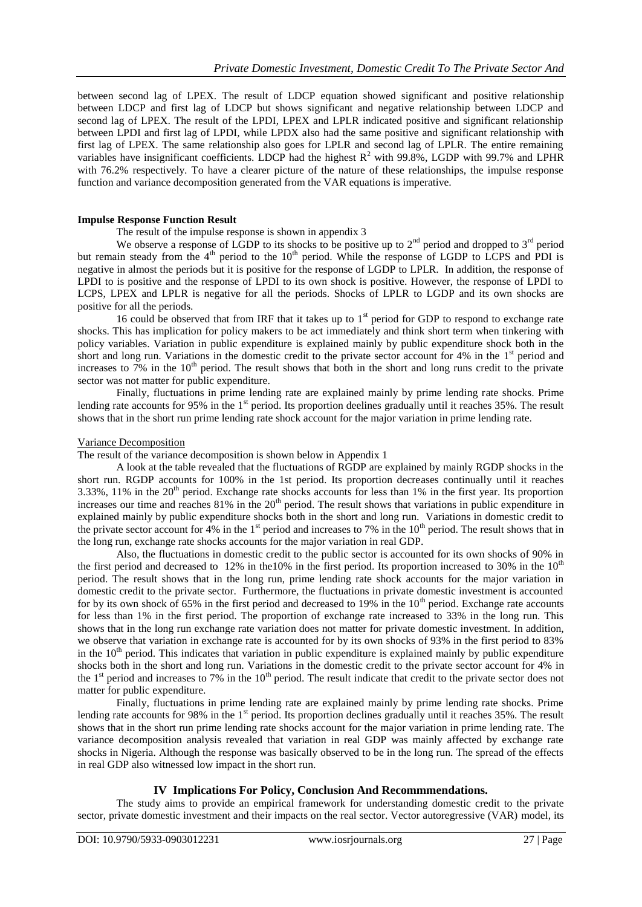between second lag of LPEX. The result of LDCP equation showed significant and positive relationship between LDCP and first lag of LDCP but shows significant and negative relationship between LDCP and second lag of LPEX. The result of the LPDI, LPEX and LPLR indicated positive and significant relationship between LPDI and first lag of LPDI, while LPDX also had the same positive and significant relationship with first lag of LPEX. The same relationship also goes for LPLR and second lag of LPLR. The entire remaining variables have insignificant coefficients. LDCP had the highest  $R^2$  with 99.8%, LGDP with 99.7% and LPHR with 76.2% respectively. To have a clearer picture of the nature of these relationships, the impulse response function and variance decomposition generated from the VAR equations is imperative.

### **Impulse Response Function Result**

The result of the impulse response is shown in appendix 3

We observe a response of LGDP to its shocks to be positive up to  $2<sup>nd</sup>$  period and dropped to  $3<sup>rd</sup>$  period but remain steady from the  $4<sup>th</sup>$  period to the  $10<sup>th</sup>$  period. While the response of LGDP to LCPS and PDI is negative in almost the periods but it is positive for the response of LGDP to LPLR. In addition, the response of LPDI to is positive and the response of LPDI to its own shock is positive. However, the response of LPDI to LCPS, LPEX and LPLR is negative for all the periods. Shocks of LPLR to LGDP and its own shocks are positive for all the periods.

16 could be observed that from IRF that it takes up to  $1<sup>st</sup>$  period for GDP to respond to exchange rate shocks. This has implication for policy makers to be act immediately and think short term when tinkering with policy variables. Variation in public expenditure is explained mainly by public expenditure shock both in the short and long run. Variations in the domestic credit to the private sector account for  $4\%$  in the  $1<sup>st</sup>$  period and increases to  $7\%$  in the 10<sup>th</sup> period. The result shows that both in the short and long runs credit to the private sector was not matter for public expenditure.

Finally, fluctuations in prime lending rate are explained mainly by prime lending rate shocks. Prime lending rate accounts for 95% in the 1<sup>st</sup> period. Its proportion deelines gradually until it reaches 35%. The result shows that in the short run prime lending rate shock account for the major variation in prime lending rate.

#### Variance Decomposition

The result of the variance decomposition is shown below in Appendix 1

A look at the table revealed that the fluctuations of RGDP are explained by mainly RGDP shocks in the short run. RGDP accounts for 100% in the 1st period. Its proportion decreases continually until it reaches 3.33%, 11% in the  $20<sup>th</sup>$  period. Exchange rate shocks accounts for less than 1% in the first year. Its proportion increases our time and reaches  $81\%$  in the  $20<sup>th</sup>$  period. The result shows that variations in public expenditure in explained mainly by public expenditure shocks both in the short and long run. Variations in domestic credit to the private sector account for 4% in the 1<sup>st</sup> period and increases to 7% in the  $10<sup>th</sup>$  period. The result shows that in the long run, exchange rate shocks accounts for the major variation in real GDP.

Also, the fluctuations in domestic credit to the public sector is accounted for its own shocks of 90% in the first period and decreased to 12% in the10% in the first period. Its proportion increased to 30% in the  $10<sup>th</sup>$ period. The result shows that in the long run, prime lending rate shock accounts for the major variation in domestic credit to the private sector. Furthermore, the fluctuations in private domestic investment is accounted for by its own shock of 65% in the first period and decreased to 19% in the  $10<sup>th</sup>$  period. Exchange rate accounts for less than 1% in the first period. The proportion of exchange rate increased to 33% in the long run. This shows that in the long run exchange rate variation does not matter for private domestic investment. In addition, we observe that variation in exchange rate is accounted for by its own shocks of 93% in the first period to 83% in the  $10<sup>th</sup>$  period. This indicates that variation in public expenditure is explained mainly by public expenditure shocks both in the short and long run. Variations in the domestic credit to the private sector account for 4% in the  $1<sup>st</sup>$  period and increases to 7% in the  $10<sup>th</sup>$  period. The result indicate that credit to the private sector does not matter for public expenditure.

Finally, fluctuations in prime lending rate are explained mainly by prime lending rate shocks. Prime lending rate accounts for 98% in the 1<sup>st</sup> period. Its proportion declines gradually until it reaches 35%. The result shows that in the short run prime lending rate shocks account for the major variation in prime lending rate. The variance decomposition analysis revealed that variation in real GDP was mainly affected by exchange rate shocks in Nigeria. Although the response was basically observed to be in the long run. The spread of the effects in real GDP also witnessed low impact in the short run.

### **IV Implications For Policy, Conclusion And Recommmendations.**

The study aims to provide an empirical framework for understanding domestic credit to the private sector, private domestic investment and their impacts on the real sector. Vector autoregressive (VAR) model, its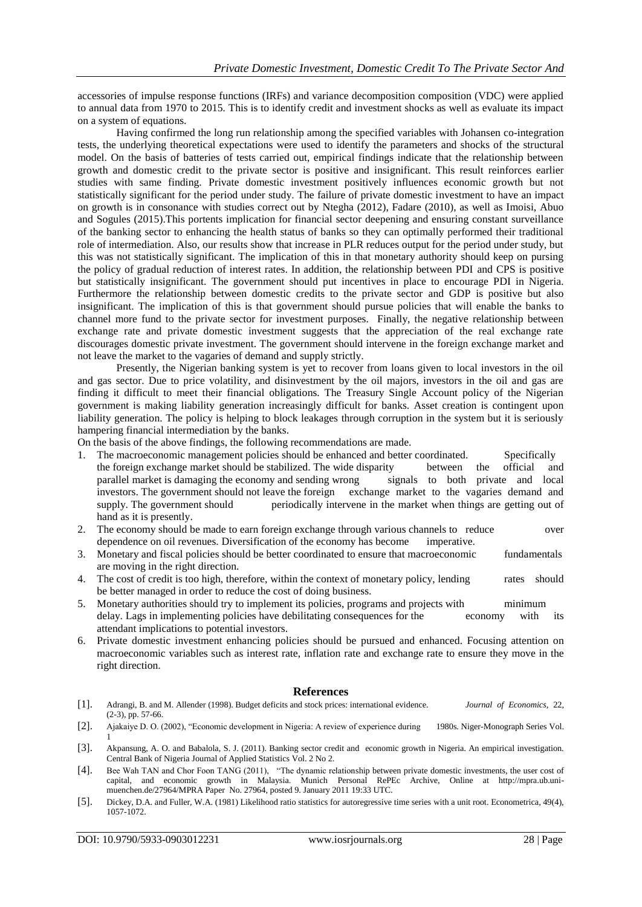accessories of impulse response functions (IRFs) and variance decomposition composition (VDC) were applied to annual data from 1970 to 2015*.* This is to identify credit and investment shocks as well as evaluate its impact on a system of equations.

Having confirmed the long run relationship among the specified variables with Johansen co-integration tests, the underlying theoretical expectations were used to identify the parameters and shocks of the structural model. On the basis of batteries of tests carried out, empirical findings indicate that the relationship between growth and domestic credit to the private sector is positive and insignificant. This result reinforces earlier studies with same finding. Private domestic investment positively influences economic growth but not statistically significant for the period under study. The failure of private domestic investment to have an impact on growth is in consonance with studies correct out by Ntegha (2012), Fadare (2010), as well as Imoisi, Abuo and Sogules (2015).This portents implication for financial sector deepening and ensuring constant surveillance of the banking sector to enhancing the health status of banks so they can optimally performed their traditional role of intermediation. Also, our results show that increase in PLR reduces output for the period under study, but this was not statistically significant. The implication of this in that monetary authority should keep on pursing the policy of gradual reduction of interest rates. In addition, the relationship between PDI and CPS is positive but statistically insignificant. The government should put incentives in place to encourage PDI in Nigeria. Furthermore the relationship between domestic credits to the private sector and GDP is positive but also insignificant. The implication of this is that government should pursue policies that will enable the banks to channel more fund to the private sector for investment purposes. Finally, the negative relationship between exchange rate and private domestic investment suggests that the appreciation of the real exchange rate discourages domestic private investment. The government should intervene in the foreign exchange market and not leave the market to the vagaries of demand and supply strictly.

Presently, the Nigerian banking system is yet to recover from loans given to local investors in the oil and gas sector. Due to price volatility, and disinvestment by the oil majors, investors in the oil and gas are finding it difficult to meet their financial obligations. The Treasury Single Account policy of the Nigerian government is making liability generation increasingly difficult for banks. Asset creation is contingent upon liability generation. The policy is helping to block leakages through corruption in the system but it is seriously hampering financial intermediation by the banks.

On the basis of the above findings, the following recommendations are made.

- 1. The macroeconomic management policies should be enhanced and better coordinated. Specifically the foreign exchange market should be stabilized. The wide disparity between the official and parallel market is damaging the economy and sending wrong signals to both private and local investors. The government should not leave the foreign exchange market to the vagaries demand and supply. The government should periodically intervene in the market when things are getting out of hand as it is presently.
- 2. The economy should be made to earn foreign exchange through various channels to reduce over dependence on oil revenues. Diversification of the economy has become imperative.
- 3. Monetary and fiscal policies should be better coordinated to ensure that macroeconomic fundamentals are moving in the right direction.
- 4. The cost of credit is too high, therefore, within the context of monetary policy, lending rates should be better managed in order to reduce the cost of doing business.
- 5. Monetary authorities should try to implement its policies, programs and projects with minimum delay. Lags in implementing policies have debilitating consequences for the economy with its attendant implications to potential investors.
- 6. Private domestic investment enhancing policies should be pursued and enhanced. Focusing attention on macroeconomic variables such as interest rate, inflation rate and exchange rate to ensure they move in the right direction.

### **References**

- [1]. Adrangi, B. and M. Allender (1998). Budget deficits and stock prices: international evidence. *Journal of Economics*, 22, (2-3), pp. 57-66.
- [2]. Ajakaiye D. O. (2002), "Economic development in Nigeria: A review of experience during 1980s. Niger-Monograph Series Vol. 1
- [3]. Akpansung, A. O. and Babalola, S. J. (2011). Banking sector credit and economic growth in Nigeria. An empirical investigation. Central Bank of Nigeria Journal of Applied Statistics Vol. 2 No 2.
- [4]. Bee Wah TAN and Chor Foon TANG (2011), "The dynamic relationship between private domestic investments, the user cost of capital, and economic growth in Malaysia. Munich Personal RePEc Archive, Online at http://mpra.ub.unimuenchen.de/27964/MPRA Paper No. 27964, posted 9. January 2011 19:33 UTC.
- [5]. Dickey, D.A. and Fuller, W.A. (1981) Likelihood ratio statistics for autoregressive time series with a unit root. Econometrica, 49(4), 1057-1072.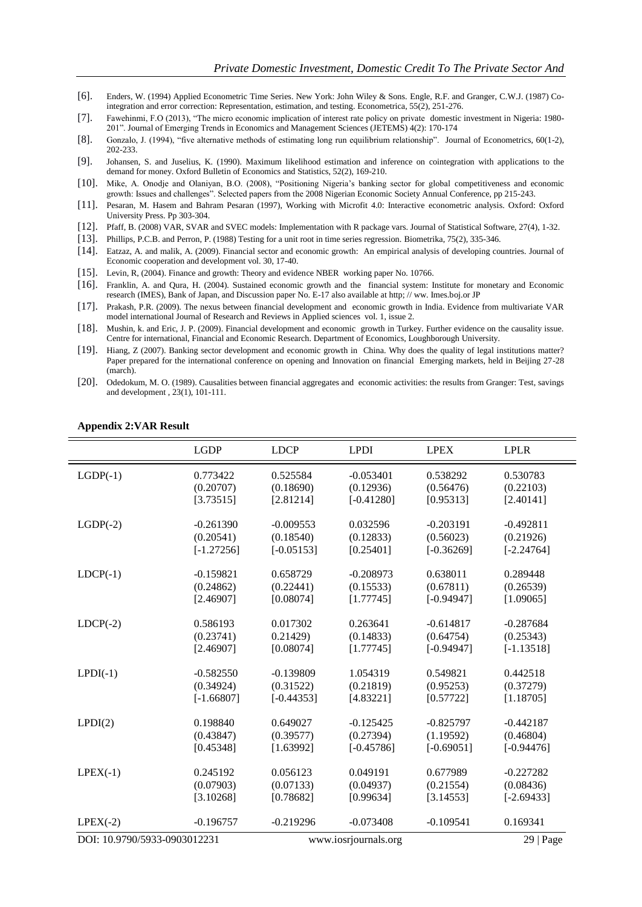- [6]. Enders, W. (1994) Applied Econometric Time Series. New York: John Wiley & Sons. Engle, R.F. and Granger, C.W.J. (1987) Cointegration and error correction: Representation, estimation, and testing. Econometrica, 55(2), 251-276.
- [7]. Fawehinmi, F.O (2013), "The micro economic implication of interest rate policy on private domestic investment in Nigeria: 1980- 201". Journal of Emerging Trends in Economics and Management Sciences (JETEMS) 4(2): 170-174
- [8]. Gonzalo, J. (1994), "five alternative methods of estimating long run equilibrium relationship". Journal of Econometrics, 60(1-2), 202-233.
- [9]. Johansen, S. and Juselius, K. (1990). Maximum likelihood estimation and inference on cointegration with applications to the demand for money. Oxford Bulletin of Economics and Statistics, 52(2), 169-210.
- [10]. Mike, A. Onodje and Olaniyan, B.O. (2008), "Positioning Nigeria"s banking sector for global competitiveness and economic growth: Issues and challenges". Selected papers from the 2008 Nigerian Economic Society Annual Conference, pp 215-243.
- [11]. Pesaran, M. Hasem and Bahram Pesaran (1997), Working with Microfit 4.0: Interactive econometric analysis. Oxford: Oxford University Press. Pp 303-304.
- [12]. Pfaff, B. (2008) VAR, SVAR and SVEC models: Implementation with R package vars. Journal of Statistical Software, 27(4), 1-32.
- [13]. Phillips, P.C.B. and Perron, P. (1988) Testing for a unit root in time series regression. Biometrika, 75(2), 335-346.
- [14]. Eatzaz, A. and malik, A. (2009). Financial sector and economic growth: An empirical analysis of developing countries. Journal of Economic cooperation and development vol. 30, 17-40.
- [15]. Levin, R, (2004). Finance and growth: Theory and evidence NBER working paper No. 10766.
- [16]. Franklin, A. and Qura, H. (2004). Sustained economic growth and the financial system: Institute for monetary and Economic research (IMES), Bank of Japan, and Discussion paper No. E-17 also available at http; // ww. Imes.boj.or JP
- [17]. Prakash, P.R. (2009). The nexus between financial development and economic growth in India. Evidence from multivariate VAR model international Journal of Research and Reviews in Applied sciences vol. 1, issue 2.
- [18]. Mushin, k. and Eric, J. P. (2009). Financial development and economic growth in Turkey. Further evidence on the causality issue. Centre for international, Financial and Economic Research. Department of Economics, Loughborough University.
- [19]. Hiang, Z (2007). Banking sector development and economic growth in China. Why does the quality of legal institutions matter? Paper prepared for the international conference on opening and Innovation on financial Emerging markets, held in Beijing 27-28 (march).
- [20]. Odedokum, M. O. (1989). Causalities between financial aggregates and economic activities: the results from Granger: Test, savings and development , 23(1), 101-111.

|                              | <b>LGDP</b>  | <b>LDCP</b>  | <b>LPDI</b>          | <b>LPEX</b>  | <b>LPLR</b>  |
|------------------------------|--------------|--------------|----------------------|--------------|--------------|
| $LGDP(-1)$                   | 0.773422     | 0.525584     | $-0.053401$          | 0.538292     | 0.530783     |
|                              | (0.20707)    | (0.18690)    | (0.12936)            | (0.56476)    | (0.22103)    |
|                              | [3.73515]    | [2.81214]    | $[-0.41280]$         | [0.95313]    | [2.40141]    |
| $LGDP(-2)$                   | $-0.261390$  | $-0.009553$  | 0.032596             | $-0.203191$  | $-0.492811$  |
|                              | (0.20541)    | (0.18540)    | (0.12833)            | (0.56023)    | (0.21926)    |
|                              | $[-1.27256]$ | $[-0.05153]$ | [0.25401]            | $[-0.36269]$ | $[-2.24764]$ |
| $LDCP(-1)$                   | $-0.159821$  | 0.658729     | $-0.208973$          | 0.638011     | 0.289448     |
|                              | (0.24862)    | (0.22441)    | (0.15533)            | (0.67811)    | (0.26539)    |
|                              | [2.46907]    | [0.08074]    | [1.77745]            | $[-0.94947]$ | [1.09065]    |
| $LDCP(-2)$                   | 0.586193     | 0.017302     | 0.263641             | $-0.614817$  | $-0.287684$  |
|                              | (0.23741)    | 0.21429      | (0.14833)            | (0.64754)    | (0.25343)    |
|                              | [2.46907]    | [0.08074]    | [1.77745]            | $[-0.94947]$ | $[-1.13518]$ |
| $LPDI(-1)$                   | $-0.582550$  | $-0.139809$  | 1.054319             | 0.549821     | 0.442518     |
|                              | (0.34924)    | (0.31522)    | (0.21819)            | (0.95253)    | (0.37279)    |
|                              | $[-1.66807]$ | $[-0.44353]$ | [4.83221]            | [0.57722]    | [1.18705]    |
| LPDI(2)                      | 0.198840     | 0.649027     | $-0.125425$          | $-0.825797$  | $-0.442187$  |
|                              | (0.43847)    | (0.39577)    | (0.27394)            | (1.19592)    | (0.46804)    |
|                              | [0.45348]    | [1.63992]    | $[-0.45786]$         | $[-0.69051]$ | $[-0.94476]$ |
| $LPEX(-1)$                   | 0.245192     | 0.056123     | 0.049191             | 0.677989     | $-0.227282$  |
|                              | (0.07903)    | (0.07133)    | (0.04937)            | (0.21554)    | (0.08436)    |
|                              | [3.10268]    | [0.78682]    | [0.99634]            | [3.14553]    | $[-2.69433]$ |
| $LPEX(-2)$                   | $-0.196757$  | $-0.219296$  | $-0.073408$          | $-0.109541$  | 0.169341     |
| DOI: 10.9790/5933-0903012231 |              |              | www.iosrjournals.org |              |              |

#### **Appendix 2:VAR Result**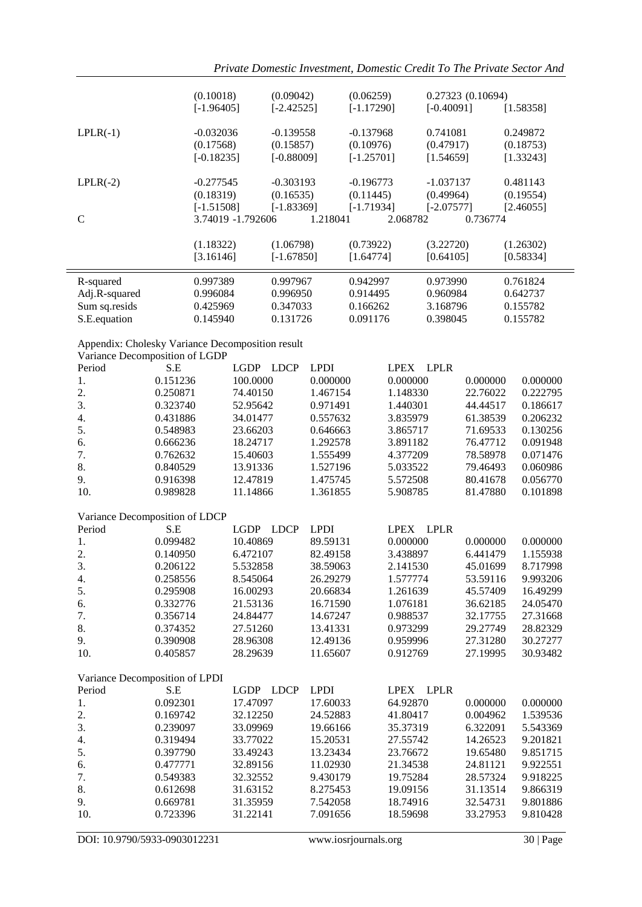|                                                                                    | (0.10018)            |                      | (0.09042)    |                      | (0.06259)    |                      |              | 0.27323 (0.10694)    |                      |
|------------------------------------------------------------------------------------|----------------------|----------------------|--------------|----------------------|--------------|----------------------|--------------|----------------------|----------------------|
|                                                                                    | $[-1.96405]$         |                      | $[-2.42525]$ |                      | $[-1.17290]$ |                      | $[-0.40091]$ |                      | [1.58358]            |
| $LPLR(-1)$                                                                         | $-0.032036$          |                      | $-0.139558$  |                      | $-0.137968$  |                      | 0.741081     |                      | 0.249872             |
|                                                                                    | (0.17568)            |                      | (0.15857)    |                      | (0.10976)    |                      | (0.47917)    |                      | (0.18753)            |
|                                                                                    | $[-0.18235]$         |                      | $[-0.88009]$ |                      | $[-1.25701]$ |                      | [1.54659]    |                      | [1.33243]            |
| $LPLR(-2)$                                                                         | $-0.277545$          |                      | $-0.303193$  |                      | $-0.196773$  |                      | $-1.037137$  |                      | 0.481143             |
|                                                                                    | (0.18319)            |                      | (0.16535)    |                      | (0.11445)    |                      | (0.49964)    |                      | (0.19554)            |
| $\mathcal{C}$                                                                      | $[-1.51508]$         | 3.74019 -1.792606    | $[-1.83369]$ | 1.218041             | $[-1.71934]$ | 2.068782             | $[-2.07577]$ | 0.736774             | [2.46055]            |
|                                                                                    |                      |                      |              |                      |              |                      |              |                      |                      |
|                                                                                    | (1.18322)            |                      | (1.06798)    |                      | (0.73922)    |                      | (3.22720)    |                      | (1.26302)            |
|                                                                                    | [3.16146]            |                      | $[-1.67850]$ |                      | [1.64774]    |                      | [0.64105]    |                      | [0.58334]            |
| R-squared                                                                          | 0.997389             |                      | 0.997967     |                      | 0.942997     |                      | 0.973990     |                      | 0.761824             |
| Adj.R-squared                                                                      | 0.996084             |                      | 0.996950     |                      | 0.914495     |                      | 0.960984     |                      | 0.642737             |
| Sum sq.resids                                                                      | 0.425969             |                      | 0.347033     |                      | 0.166262     |                      | 3.168796     |                      | 0.155782             |
| S.E.equation                                                                       | 0.145940             |                      | 0.131726     |                      | 0.091176     |                      | 0.398045     |                      | 0.155782             |
| Appendix: Cholesky Variance Decomposition result<br>Variance Decomposition of LGDP |                      |                      |              |                      |              |                      |              |                      |                      |
| Period                                                                             | S.E                  | LGDP LDCP            |              | <b>LPDI</b>          |              | <b>LPEX</b>          | <b>LPLR</b>  |                      |                      |
| 1.                                                                                 | 0.151236             | 100.0000             |              | 0.000000             |              | 0.000000             |              | 0.000000             | 0.000000             |
| 2.                                                                                 | 0.250871             | 74.40150             |              | 1.467154             |              | 1.148330             |              | 22.76022             | 0.222795             |
| 3.                                                                                 | 0.323740             | 52.95642             |              | 0.971491             |              | 1.440301             |              | 44.44517             | 0.186617             |
| 4.                                                                                 | 0.431886             | 34.01477             |              | 0.557632             |              | 3.835979             |              | 61.38539             | 0.206232             |
| 5.                                                                                 | 0.548983             | 23.66203             |              | 0.646663             |              | 3.865717             |              | 71.69533             | 0.130256             |
| 6.                                                                                 | 0.666236             | 18.24717             |              | 1.292578             |              | 3.891182             |              | 76.47712             | 0.091948             |
| 7.                                                                                 | 0.762632             | 15.40603             |              | 1.555499             |              | 4.377209             |              | 78.58978             | 0.071476             |
| 8.                                                                                 | 0.840529             | 13.91336             |              | 1.527196             |              | 5.033522             |              | 79.46493             | 0.060986             |
| 9.                                                                                 | 0.916398             | 12.47819             |              | 1.475745             |              | 5.572508             |              | 80.41678             | 0.056770             |
| 10.                                                                                | 0.989828             | 11.14866             |              | 1.361855             |              | 5.908785             |              | 81.47880             | 0.101898             |
| Variance Decomposition of LDCP                                                     |                      |                      |              |                      |              |                      |              |                      |                      |
| Period                                                                             | S.E                  | <b>LGDP</b>          | <b>LDCP</b>  | <b>LPDI</b>          |              | <b>LPEX</b>          | <b>LPLR</b>  |                      |                      |
| 1.                                                                                 | 0.099482             | 10.40869             |              | 89.59131             |              | 0.000000             |              | 0.000000             | 0.000000             |
| 2.<br>3.                                                                           | 0.140950<br>0.206122 | 6.472107<br>5.532858 |              | 82.49158<br>38.59063 |              | 3.438897<br>2.141530 |              | 6.441479<br>45.01699 | 1.155938<br>8.717998 |
| 4.                                                                                 | 0.258556             | 8.545064             |              | 26.29279             |              | 1.577774             |              | 53.59116             | 9.993206             |
| 5.                                                                                 | 0.295908             | 16.00293             |              | 20.66834             |              | 1.261639             |              | 45.57409             | 16.49299             |
| 6.                                                                                 | 0.332776             | 21.53136             |              | 16.71590             |              | 1.076181             |              | 36.62185             | 24.05470             |
| 7.                                                                                 | 0.356714             | 24.84477             |              | 14.67247             |              | 0.988537             |              | 32.17755             | 27.31668             |
| 8.                                                                                 | 0.374352             | 27.51260             |              | 13.41331             |              | 0.973299             |              | 29.27749             | 28.82329             |
| 9.                                                                                 | 0.390908             | 28.96308             |              | 12.49136             |              | 0.959996             |              | 27.31280             | 30.27277             |
| 10.                                                                                | 0.405857             | 28.29639             |              | 11.65607             |              | 0.912769             |              | 27.19995             | 30.93482             |
| Variance Decomposition of LPDI                                                     |                      |                      |              |                      |              |                      |              |                      |                      |
| Period                                                                             | S.E                  | LGDP LDCP            |              | <b>LPDI</b>          |              | <b>LPEX</b>          | LPLR         |                      |                      |
| 1.                                                                                 | 0.092301             | 17.47097             |              | 17.60033             |              | 64.92870             |              | 0.000000             | 0.000000             |
| 2.<br>3.                                                                           | 0.169742<br>0.239097 | 32.12250<br>33.09969 |              | 24.52883<br>19.66166 |              | 41.80417<br>35.37319 |              | 0.004962<br>6.322091 | 1.539536<br>5.543369 |
| 4.                                                                                 | 0.319494             | 33.77022             |              | 15.20531             |              | 27.55742             |              | 14.26523             | 9.201821             |
| 5.                                                                                 | 0.397790             | 33.49243             |              | 13.23434             |              | 23.76672             |              | 19.65480             | 9.851715             |
| 6.                                                                                 | 0.477771             | 32.89156             |              | 11.02930             |              | 21.34538             |              | 24.81121             | 9.922551             |
| 7.                                                                                 | 0.549383             | 32.32552             |              | 9.430179             |              | 19.75284             |              | 28.57324             | 9.918225             |
| 8.                                                                                 | 0.612698             | 31.63152             |              | 8.275453             |              | 19.09156             |              | 31.13514             | 9.866319             |
| 9.                                                                                 | 0.669781             | 31.35959             |              | 7.542058             |              | 18.74916             |              | 32.54731             | 9.801886             |
| 10.                                                                                | 0.723396             | 31.22141             |              | 7.091656             |              | 18.59698             |              | 33.27953             | 9.810428             |
|                                                                                    |                      |                      |              |                      |              |                      |              |                      |                      |

DOI: 10.9790/5933-0903012231 www.iosrjournals.org 30 | Page